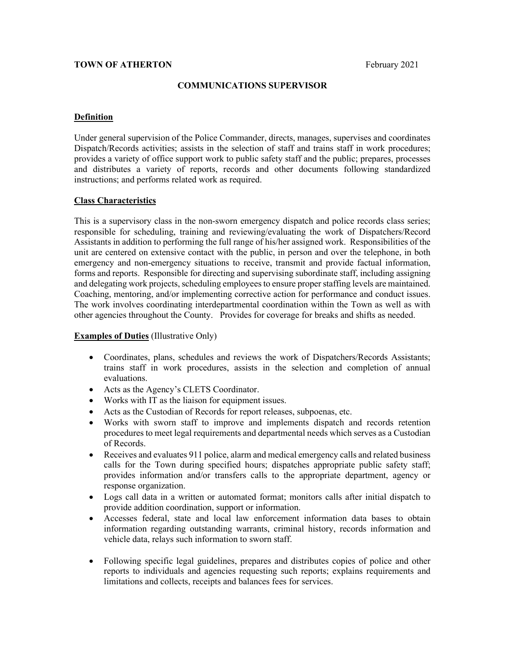## **TOWN OF ATHERTON** February 2021

#### **COMMUNICATIONS SUPERVISOR**

#### **Definition**

Under general supervision of the Police Commander, directs, manages, supervises and coordinates Dispatch/Records activities; assists in the selection of staff and trains staff in work procedures; provides a variety of office support work to public safety staff and the public; prepares, processes and distributes a variety of reports, records and other documents following standardized instructions; and performs related work as required.

## **Class Characteristics**

This is a supervisory class in the non-sworn emergency dispatch and police records class series; responsible for scheduling, training and reviewing/evaluating the work of Dispatchers/Record Assistants in addition to performing the full range of his/her assigned work. Responsibilities of the unit are centered on extensive contact with the public, in person and over the telephone, in both emergency and non-emergency situations to receive, transmit and provide factual information, forms and reports. Responsible for directing and supervising subordinate staff, including assigning and delegating work projects, scheduling employees to ensure proper staffing levels are maintained. Coaching, mentoring, and/or implementing corrective action for performance and conduct issues. The work involves coordinating interdepartmental coordination within the Town as well as with other agencies throughout the County. Provides for coverage for breaks and shifts as needed.

#### **Examples of Duties** (Illustrative Only)

- Coordinates, plans, schedules and reviews the work of Dispatchers/Records Assistants; trains staff in work procedures, assists in the selection and completion of annual evaluations.
- Acts as the Agency's CLETS Coordinator.
- Works with IT as the liaison for equipment issues.
- Acts as the Custodian of Records for report releases, subpoenas, etc.
- Works with sworn staff to improve and implements dispatch and records retention procedures to meet legal requirements and departmental needs which serves as a Custodian of Records.
- Receives and evaluates 911 police, alarm and medical emergency calls and related business calls for the Town during specified hours; dispatches appropriate public safety staff; provides information and/or transfers calls to the appropriate department, agency or response organization.
- Logs call data in a written or automated format; monitors calls after initial dispatch to provide addition coordination, support or information.
- Accesses federal, state and local law enforcement information data bases to obtain information regarding outstanding warrants, criminal history, records information and vehicle data, relays such information to sworn staff.
- Following specific legal guidelines, prepares and distributes copies of police and other reports to individuals and agencies requesting such reports; explains requirements and limitations and collects, receipts and balances fees for services.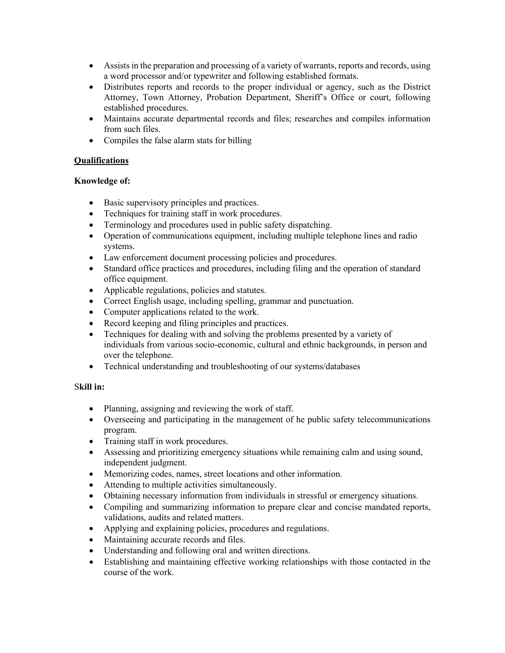- Assists in the preparation and processing of a variety of warrants, reports and records, using a word processor and/or typewriter and following established formats.
- Distributes reports and records to the proper individual or agency, such as the District Attorney, Town Attorney, Probation Department, Sheriff's Office or court, following established procedures.
- Maintains accurate departmental records and files; researches and compiles information from such files.
- Compiles the false alarm stats for billing

# **Qualifications**

# **Knowledge of:**

- Basic supervisory principles and practices.
- Techniques for training staff in work procedures.
- Terminology and procedures used in public safety dispatching.
- Operation of communications equipment, including multiple telephone lines and radio systems.
- Law enforcement document processing policies and procedures.
- Standard office practices and procedures, including filing and the operation of standard office equipment.
- Applicable regulations, policies and statutes.
- Correct English usage, including spelling, grammar and punctuation.
- Computer applications related to the work.
- Record keeping and filing principles and practices.
- Techniques for dealing with and solving the problems presented by a variety of individuals from various socio-economic, cultural and ethnic backgrounds, in person and over the telephone.
- Technical understanding and troubleshooting of our systems/databases

# S**kill in:**

- Planning, assigning and reviewing the work of staff.
- Overseeing and participating in the management of he public safety telecommunications program.
- Training staff in work procedures.
- Assessing and prioritizing emergency situations while remaining calm and using sound, independent judgment.
- Memorizing codes, names, street locations and other information.
- Attending to multiple activities simultaneously.
- Obtaining necessary information from individuals in stressful or emergency situations.
- Compiling and summarizing information to prepare clear and concise mandated reports, validations, audits and related matters.
- Applying and explaining policies, procedures and regulations.
- Maintaining accurate records and files.
- Understanding and following oral and written directions.
- Establishing and maintaining effective working relationships with those contacted in the course of the work.